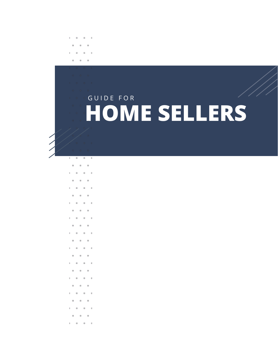# **HOME SELLERS**  GUIDE FOR

- 
- 
- 
- 
- 
- 
- 
- 
- 
- 
- 
- 
- 
- 
- 
- 
- 
- -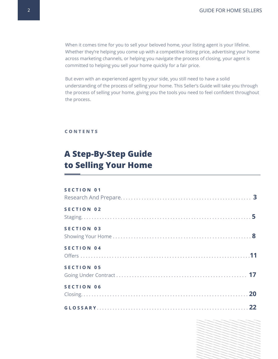When it comes time for you to sell your beloved home, your listing agent is your lifeline. Whether they're helping you come up with a competitive listing price, advertising your home across marketing channels, or helping you navigate the process of closing, your agent is committed to helping you sell your home quickly for a fair price.

But even with an experienced agent by your side, you still need to have a solid understanding of the process of selling your home. This Seller's Guide will take you through the process of selling your home, giving you the tools you need to feel confident throughout the process.

#### **C O N T E N T S**

# **A Step-By-Step Guide to Selling Your Home**

#### **S E C T I O N 0 1**

| SECTION 02 |
|------------|
| SECTION 03 |
| SECTION 04 |
| SECTION 05 |
| SECTION 06 |
|            |

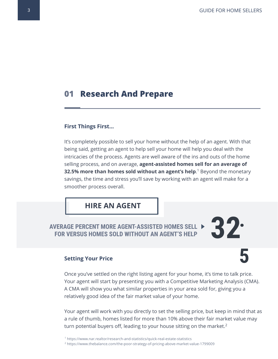**5**

## **01 Research And Prepare**

#### **First Things First...**

It's completely possible to sell your home without the help of an agent. With that being said, getting an agent to help sell your home will help you deal with the intricacies of the process. Agents are well aware of the ins and outs of the home selling process, and on average, **agent-assisted homes sell for an average of 32.5% more than homes sold without an agent's help**.<sup>1</sup> Beyond the monetary savings, the time and stress you'll save by working with an agent will make for a smoother process overall.

## **HIRE AN AGENT**

# **AVERAGE PERCENT MORE AGENT-ASSISTED HOMES SELL FOR VERSUS HOMES SOLD WITHOUT AN AGENT'S HELP**

#### **Setting Your Price**

Once you've settled on the right listing agent for your home, it's time to talk price. Your agent will start by presenting you with a Competitive Marketing Analysis (CMA). A CMA will show you what similar properties in your area sold for, giving you a relatively good idea of the fair market value of your home.

Your agent will work with you directly to set the selling price, but keep in mind that as a rule of thumb, homes listed for more than 10% above their fair market value may turn potential buyers off, leading to your house sitting on the market.<sup>2</sup>

<sup>1</sup> <https://www.nar.realtor/research-and-statistics/quick-real-estate-statistics> <sup>2</sup> <https://www.thebalance.com/the-poor-strategy-of-pricing-above-market-value-1799009>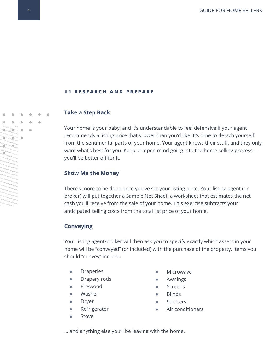#### **0 1 R E S E A R C H A N D P R E P A R E**

#### **Take a Step Back**

Your home is your baby, and it's understandable to feel defensive if your agent recommends a listing price that's lower than you'd like. It's time to detach yourself from the sentimental parts of your home: Your agent knows their stuff, and they only want what's best for you. Keep an open mind going into the home selling process you'll be better off for it.

#### **Show Me the Money**

There's more to be done once you've set your listing price. Your listing agent (or broker) will put together a Sample Net Sheet, a worksheet that estimates the net cash you'll receive from the sale of your home. This exercise subtracts your anticipated selling costs from the total list price of your home.

#### **Conveying**

Your listing agent/broker will then ask you to specify exactly which assets in your home will be "conveyed" (or included) with the purchase of the property. Items you should "convey" include:

- Draperies
- Drapery rods
- Firewood
- Washer
- Dryer
- Refrigerator
- Stove
- **Microwave**
- Awnings
- **Screens**
- **Blinds**
- Shutters
- Air conditioners

… and anything else you'll be leaving with the home.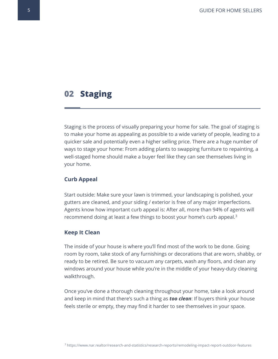## **02 Staging**

Staging is the process of visually preparing your home for sale. The goal of staging is to make your home as appealing as possible to a wide variety of people, leading to a quicker sale and potentially even a higher selling price. There are a huge number of ways to stage your home: From adding plants to swapping furniture to repainting, a well-staged home should make a buyer feel like they can see themselves living in your home.

#### **Curb Appeal**

Start outside: Make sure your lawn is trimmed, your landscaping is polished, your gutters are cleaned, and your siding / exterior is free of any major imperfections. Agents know how important curb appeal is: After all, more than 94% of agents will recommend doing at least a few things to boost your home's curb appeal.<sup>3</sup>

#### **Keep It Clean**

The inside of your house is where you'll find most of the work to be done. Going room by room, take stock of any furnishings or decorations that are worn, shabby, or ready to be retired. Be sure to vacuum any carpets, wash any floors, and clean any windows around your house while you're in the middle of your heavy-duty cleaning walkthrough.

Once you've done a thorough cleaning throughout your home, take a look around and keep in mind that there's such a thing as *too clean*: If buyers think your house feels sterile or empty, they may find it harder to see themselves in your space.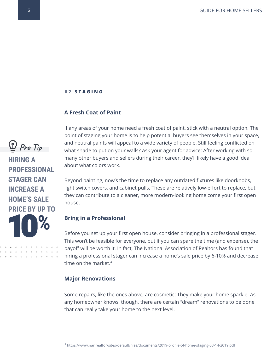#### **0 2 S T A G I N G**

#### **A Fresh Coat of Paint**

If any areas of your home need a fresh coat of paint, stick with a neutral option. The point of staging your home is to help potential buyers see themselves in your space, and neutral paints will appeal to a wide variety of people. Still feeling conflicted on what shade to put on your walls? Ask your agent for advice: After working with so many other buyers and sellers during their career, they'll likely have a good idea about what colors work.

Beyond painting, now's the time to replace any outdated fixtures like doorknobs, light switch covers, and cabinet pulls. These are relatively low-effort to replace, but they can contribute to a cleaner, more modern-looking home come your first open house.

#### **Bring in a Professional**

Before you set up your first open house, consider bringing in a professional stager. This won't be feasible for everyone, but if you can spare the time (and expense), the payoff will be worth it. In fact, The National Association of Realtors has found that hiring a professional stager can increase a home's sale price by 6-10% and decrease time on the market.<sup>4</sup>

#### **Major Renovations**

Some repairs, like the ones above, are cosmetic: They make your home sparkle. As any homeowner knows, though, there are certain "dream" renovations to be done that can really take your home to the next level.



**HIRING A PROFESSIONAL STAGER CAN INCREASE A HOME'S SALE PRICE BY UP TO %**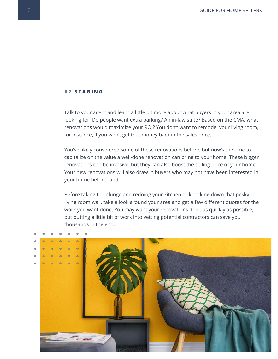#### **0 2 S T A G I N G**

Talk to your agent and learn a little bit more about what buyers in your area are looking for. Do people want extra parking? An in-law suite? Based on the CMA, what renovations would maximize your ROI? You don't want to remodel your living room, for instance, if you won't get that money back in the sales price.

You've likely considered some of these renovations before, but now's the time to capitalize on the value a well-done renovation can bring to your home. These bigger renovations can be invasive, but they can also boost the selling price of your home. Your new renovations will also draw in buyers who may not have been interested in your home beforehand.

Before taking the plunge and redoing your kitchen or knocking down that pesky living room wall, take a look around your area and get a few different quotes for the work you want done. You may want your renovations done as quickly as possible, but putting a little bit of work into vetting potential contractors can save you thousands in the end.

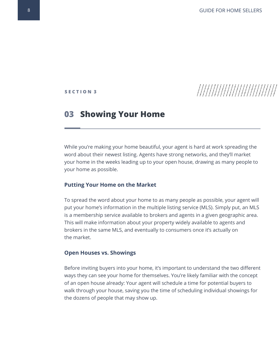**S E C T I O N 3**

# 

## **03 Showing Your Home**

While you're making your home beautiful, your agent is hard at work spreading the word about their newest listing. Agents have strong networks, and they'll market your home in the weeks leading up to your open house, drawing as many people to your home as possible.

#### **Putting Your Home on the Market**

To spread the word about your home to as many people as possible, your agent will put your home's information in the multiple listing service (MLS). Simply put, an MLS is a membership service available to brokers and agents in a given geographic area. This will make information about your property widely available to agents and brokers in the same MLS, and eventually to consumers once it's actually on the market.

#### **Open Houses vs. Showings**

Before inviting buyers into your home, it's important to understand the two different ways they can see your home for themselves. You're likely familiar with the concept of an open house already: Your agent will schedule a time for potential buyers to walk through your house, saving you the time of scheduling individual showings for the dozens of people that may show up.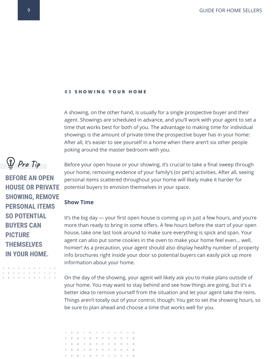#### **03 SHOWING YOUR HOME**

A showing, on the other hand, is usually for a single prospective buyer and their agent. Showings are scheduled in advance, and you'll work with your agent to set a time that works best for both of you. The advantage to making time for individual showings is the amount of private time the prospective buyer has in your home: After all, it's easier to see yourself in a home when there aren't six other people poking around the master bedroom with you.

Before your open house or your showing, it's crucial to take a final sweep through your home, removing evidence of your family's (or pet's) activities. After all, seeing personal items scattered throughout your home will likely make it harder for potential buyers to envision themselves in your space.

### **Show Time**

It's the big day — your first open house is coming up in just a few hours, and you're more than ready to bring in some offers. A few hours before the start of your open house, take one last look around to make sure everything is spick and span. Your agent can also put some cookies in the oven to make your home feel even… well, homier! As a precaution, your agent should also display healthy number of property info brochures right inside your door so potential buyers can easily pick up more information about your home.

On the day of the showing, your agent will likely ask you to make plans outside of your home. You may want to stay behind and see how things are going, but it's a better idea to remove yourself from the situation and let your agent take the reins. Things aren't totally out of your control, though: You get to set the showing hours, so be sure to plan ahead and choose a time that works well for you.



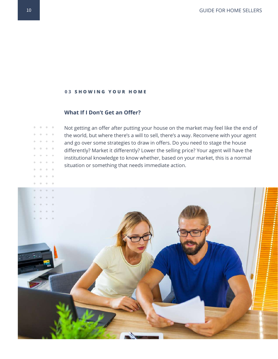#### **03 SHOWING YOUR HOME**

### **What If I Don't Get an Offer?**

Not getting an offer after putting your house on the market may feel like the end of the world, but where there's a will to sell, there's a way. Reconvene with your agent and go over some strategies to draw in offers. Do you need to stage the house differently? Market it differently? Lower the selling price? Your agent will have the institutional knowledge to know whether, based on your market, this is a normal situation or something that needs immediate action.

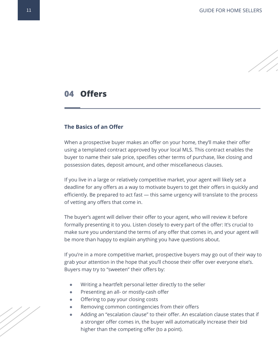## **04 Offers**

#### **The Basics of an Offer**

When a prospective buyer makes an offer on your home, they'll make their offer using a templated contract approved by your local MLS. This contract enables the buyer to name their sale price, specifies other terms of purchase, like closing and possession dates, deposit amount, and other miscellaneous clauses.

If you live in a large or relatively competitive market, your agent will likely set a deadline for any offers as a way to motivate buyers to get their offers in quickly and efficiently. Be prepared to act fast — this same urgency will translate to the process of vetting any offers that come in.

The buyer's agent will deliver their offer to your agent, who will review it before formally presenting it to you. Listen closely to every part of the offer: It's crucial to make sure you understand the terms of any offer that comes in, and your agent will be more than happy to explain anything you have questions about.

If you're in a more competitive market, prospective buyers may go out of their way to grab your attention in the hope that you'll choose their offer over everyone else's. Buyers may try to "sweeten" their offers by:

- Writing a heartfelt personal letter directly to the seller
- Presenting an all- or mostly-cash offer
- Offering to pay your closing costs
- Removing common contingencies from their offers
- Adding an "escalation clause" to their offer. An escalation clause states that if a stronger offer comes in, the buyer will automatically increase their bid higher than the competing offer (to a point).

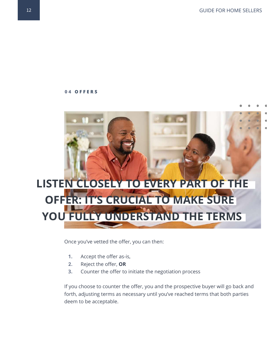

Once you've vetted the offer, you can then:

- **1.** Accept the offer as-is,
- **2.** Reject the offer, **OR**
- **3.** Counter the offer to initiate the negotiation process

If you choose to counter the offer, you and the prospective buyer will go back and forth, adjusting terms as necessary until you've reached terms that both parties deem to be acceptable.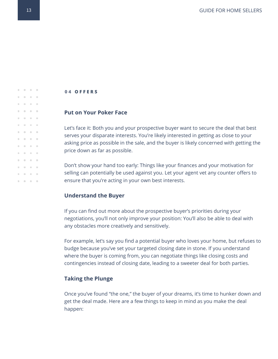#### **Put on Your Poker Face**

Let's face it: Both you and your prospective buyer want to secure the deal that best serves your disparate interests. You're likely interested in getting as close to your asking price as possible in the sale, and the buyer is likely concerned with getting the price down as far as possible.

Don't show your hand too early: Things like your finances and your motivation for selling can potentially be used against you. Let your agent vet any counter offers to ensure that you're acting in your own best interests.

#### **Understand the Buyer**

If you can find out more about the prospective buyer's priorities during your negotiations, you'll not only improve your position: You'll also be able to deal with any obstacles more creatively and sensitively.

For example, let's say you find a potential buyer who loves your home, but refuses to budge because you've set your targeted closing date in stone. If you understand where the buyer is coming from, you can negotiate things like closing costs and contingencies instead of closing date, leading to a sweeter deal for both parties.

#### **Taking the Plunge**

Once you've found "the one," the buyer of your dreams, it's time to hunker down and get the deal made. Here are a few things to keep in mind as you make the deal happen:

 $0 - 0 - 0 = 0$  $0 - 0 - 0 = 0$  $0 \t 0 \t 0 \t 0$  $0 \t 0 \t 0 \t 0$  $0 \t 0 \t 0 \t 0$  $0 - 0 - 0$  $0.00000$  $0 - 0 - 0 = 0$  $0 - 0 - 0$  $0 \t 0 \t 0 \t 0$  $0 - 0 - 0 = 0$  $0 - 0 - 0 = 0$  $0 - 0 - 0 - 0$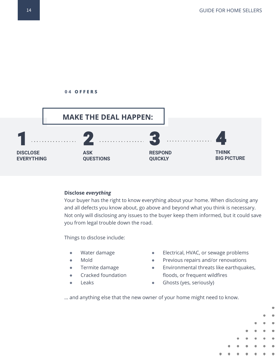

#### **Disclose** *everything*

Your buyer has the right to know everything about your home. When disclosing any and all defects you know about, go above and beyond what you think is necessary. Not only will disclosing any issues to the buyer keep them informed, but it could save you from legal trouble down the road.

Things to disclose include:

- Water damage
- Mold
- Termite damage
- Cracked foundation
- Leaks
- Electrical, HVAC, or sewage problems
- Previous repairs and/or renovations
- Environmental threats like earthquakes, floods, or frequent wildfires
- **•** Ghosts (yes, seriously)

… and anything else that the new owner of your home might need to know.

14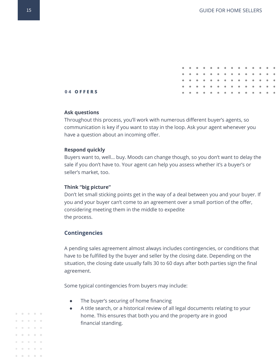|  | . |  |  |  |  |  |  |
|--|---|--|--|--|--|--|--|
|  | . |  |  |  |  |  |  |
|  | . |  |  |  |  |  |  |
|  | . |  |  |  |  |  |  |
|  | . |  |  |  |  |  |  |
|  |   |  |  |  |  |  |  |

#### **Ask questions**

Throughout this process, you'll work with numerous different buyer's agents, so communication is key if you want to stay in the loop. Ask your agent whenever you have a question about an incoming offer.

#### **Respond quickly**

Buyers want to, well… buy. Moods can change though, so you don't want to delay the sale if you don't have to. Your agent can help you assess whether it's a buyer's or seller's market, too.

#### **Think "big picture"**

Don't let small sticking points get in the way of a deal between you and your buyer. If you and your buyer can't come to an agreement over a small portion of the offer, considering meeting them in the middle to expedite the process.

#### **Contingencies**

A pending sales agreement almost always includes contingencies, or conditions that have to be fulfilled by the buyer and seller by the closing date. Depending on the situation, the closing date usually falls 30 to 60 days after both parties sign the final agreement.

Some typical contingencies from buyers may include:

- The buyer's securing of home financing
- A title search, or a historical review of all legal documents relating to your home. This ensures that both you and the property are in good financial standing.

 $0 - 0 - 0$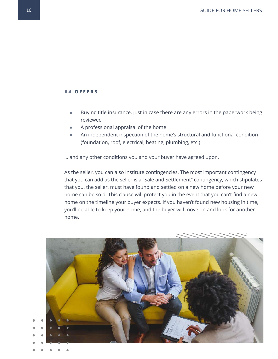- Buying title insurance, just in case there are any errors in the paperwork being reviewed
- A professional appraisal of the home
- An independent inspection of the home's structural and functional condition (foundation, roof, electrical, heating, plumbing, etc.)

… and any other conditions you and your buyer have agreed upon.

As the seller, you can also institute contingencies. The most important contingency that you can add as the seller is a "Sale and Settlement" contingency, which stipulates that you, the seller, must have found and settled on a new home before your new home can be sold. This clause will protect you in the event that you can't find a new home on the timeline your buyer expects. If you haven't found new housing in time, you'll be able to keep your home, and the buyer will move on and look for another home.

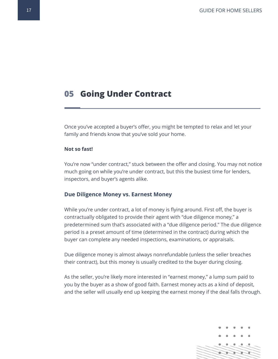## **05 Going Under Contract**

Once you've accepted a buyer's offer, you might be tempted to relax and let your family and friends know that you've sold your home.

#### **Not so fast!**

You're now "under contract," stuck between the offer and closing. You may not notice much going on while you're under contract, but this the busiest time for lenders, inspectors, and buyer's agents alike.

#### **Due Diligence Money vs. Earnest Money**

While you're under contract, a lot of money is flying around. First off, the buyer is contractually obligated to provide their agent with "due diligence money," a predetermined sum that's associated with a "due diligence period." The due diligence period is a preset amount of time (determined in the contract) during which the buyer can complete any needed inspections, examinations, or appraisals.

Due diligence money is almost always nonrefundable (unless the seller breaches their contract), but this money is usually credited to the buyer during closing.

As the seller, you're likely more interested in "earnest money," a lump sum paid to you by the buyer as a show of good faith. Earnest money acts as a kind of deposit, and the seller will usually end up keeping the earnest money if the deal falls through.

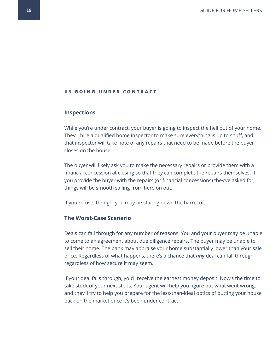#### **05 GOING UNDER CONTRACT**

#### **Inspections**

While you're under contract, your buyer is going to inspect the hell out of your home. They'll hire a qualified home inspector to make sure everything is up to snuff, and that inspector will take note of any repairs that need to be made before the buyer closes on the house.

The buyer will likely ask you to make the necessary repairs or provide them with a financial concession at closing so that they can complete the repairs themselves. If you provide the buyer with the repairs (or financial concessions) they've asked for, things will be smooth sailing from here on out.

If you refuse, though, you may be staring down the barrel of...

#### **The Worst-Case Scenario**

Deals can fall through for any number of reasons. You and your buyer may be unable to come to an agreement about due diligence repairs. The buyer may be unable to sell their home. The bank may appraise your home substantially lower than your sale price. Regardless of what happens, there's a chance that *any* deal can fall through, regardless of how secure it may seem.

If your deal falls through, you'll receive the earnest money deposit. Now's the time to take stock of your next steps. Your agent will help you figure out what went wrong, and they'll try to help you prepare for the less-than-ideal optics of putting your house back on the market once it's been under contract.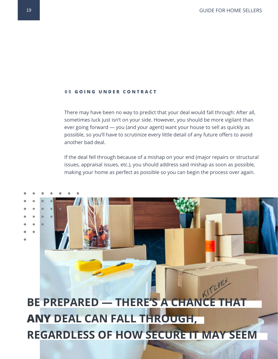#### **05 GOING UNDER CONTRACT**

There may have been no way to predict that your deal would fall through: After all, sometimes luck just isn't on your side. However, you should be more vigilant than ever going forward — you (and your agent) want your house to sell as quickly as possible, so you'll have to scrutinize every little detail of any future offers to avoid another bad deal.

If the deal fell through because of a mishap on your end (major repairs or structural issues, appraisal issues, etc.), you should address said mishap as soon as possible, making your home as perfect as possible so you can begin the process over again.

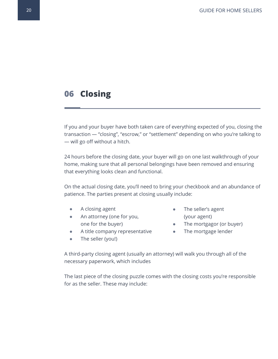## **06 Closing**

If you and your buyer have both taken care of everything expected of you, closing the transaction — "closing", "escrow," or "settlement" depending on who you're talking to — will go off without a hitch.

24 hours before the closing date, your buyer will go on one last walkthrough of your home, making sure that all personal belongings have been removed and ensuring that everything looks clean and functional.

On the actual closing date, you'll need to bring your checkbook and an abundance of patience. The parties present at closing usually include:

- A closing agent
- An attorney (one for you, one for the buyer)
- A title company representative
- The seller (you!)
- The seller's agent (your agent)
- The mortgagor (or buyer)
- The mortgage lender

A third-party closing agent (usually an attorney) will walk you through all of the necessary paperwork, which includes

The last piece of the closing puzzle comes with the closing costs you're responsible for as the seller. These may include: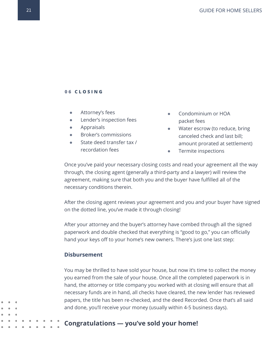#### **0 6 C L O S I N G**

- Attorney's fees
- Lender's inspection fees
- Appraisals
- Broker's commissions
- State deed transfer tax / recordation fees
- Condominium or HOA packet fees
- Water escrow (to reduce, bring canceled check and last bill; amount prorated at settlement)
- Termite inspections

Once you've paid your necessary closing costs and read your agreement all the way through, the closing agent (generally a third-party and a lawyer) will review the agreement, making sure that both you and the buyer have fulfilled all of the necessary conditions therein.

After the closing agent reviews your agreement and you and your buyer have signed on the dotted line, you've made it through closing!

After your attorney and the buyer's attorney have combed through all the signed paperwork and double checked that everything is "good to go," you can officially hand your keys off to your home's new owners. There's just one last step:

#### **Disbursement**

You may be thrilled to have sold your house, but now it's time to collect the money you earned from the sale of your house. Once all the completed paperwork is in hand, the attorney or title company you worked with at closing will ensure that all necessary funds are in hand, all checks have cleared, the new lender has reviewed papers, the title has been re-checked, and the deed Recorded. Once that's all said and done, you'll receive your money (usually within 4-5 business days).

### **Congratulations — you've sold your home!**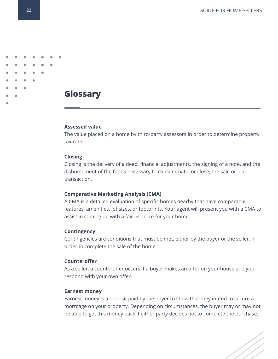## **Glossary**

#### **Assessed value**

The value placed on a home by third-party assessors in order to determine property tax rate.

#### **Closing**

Closing is the delivery of a deed, financial adjustments, the signing of a note, and the disbursement of the funds necessary to consummate, or close, the sale or loan transaction.

#### **Comparative Marketing Analysis (CMA)**

A CMA is a detailed evaluation of specific homes nearby that have comparable features, amenities, lot sizes, or footprints. Your agent will present you with a CMA to assist in coming up with a fair list price for your home.

#### **Contingency**

Contingencies are conditions that must be met, either by the buyer or the seller, in order to complete the sale of the home.

#### **Counteroffer**

As a seller, a counteroffer occurs if a buyer makes an offer on your house and you respond with your own offer.

#### **Earnest money**

Earnest money is a deposit paid by the buyer to show that they intend to secure a mortgage on your property. Depending on circumstances, the buyer may or may not be able to get this money back if either party decides not to complete the purchase.